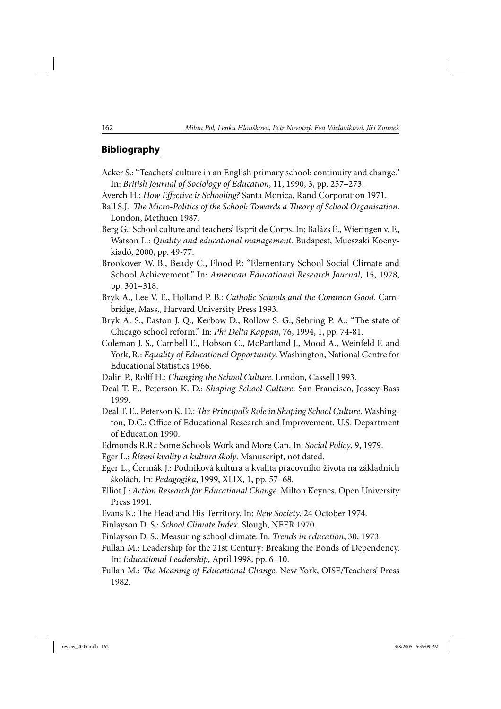## **Bibliography**

- Acker S.: "Teachers' culture in an English primary school: continuity and change." In: *British Journal of Sociology of Education*, 11, 1990, 3, pp. 257–273.
- Averch H.: *How Effective is Schooling?* Santa Monica, Rand Corporation 1971.
- Ball S.J.: *The Micro-Politics of the School: Towards a Theory of School Organisation*. London, Methuen 1987.
- Berg G.: School culture and teachers' Esprit de Corps. In: Balázs É., Wieringen v. F., Watson L.: *Quality and educational management*. Budapest, Mueszaki Koenykiadó, 2000, pp. 49-77.
- Brookover W. B., Beady C., Flood P.: "Elementary School Social Climate and School Achievement." In: *American Educational Research Journal*, 15, 1978, pp. 301–318.
- Bryk A., Lee V. E., Holland P. B.: *Catholic Schools and the Common Good*. Cambridge, Mass., Harvard University Press 1993.
- Bryk A. S., Easton J. Q., Kerbow D., Rollow S. G., Sebring P. A.: "The state of Chicago school reform." In: *Phi Delta Kappan*, 76, 1994, 1, pp. 74-81.
- Coleman J. S., Cambell E., Hobson C., McPartland J., Mood A., Weinfeld F. and York, R.: *Equality of Educational Opportunity*. Washington, National Centre for Educational Statistics 1966.
- Dalin P., Rolff H.: *Changing the School Culture*. London, Cassell 1993.
- Deal T. E., Peterson K. D.: *Shaping School Culture*. San Francisco, Jossey-Bass 1999.
- Deal T. E., Peterson K. D.: *The Principal's Role in Shaping School Culture*. Washington, D.C.: Office of Educational Research and Improvement, U.S. Department of Education 1990.
- Edmonds R.R.: Some Schools Work and More Can. In: *Social Policy*, 9, 1979.
- Eger L.: *Řízení kvality a kultura školy*. Manuscript, not dated.
- Eger L., Čermák J.: Podniková kultura a kvalita pracovního života na základních školách. In: *Pedagogika*, 1999, XLIX, 1, pp. 57–68.
- Elliot J.: *Action Research for Educational Change*. Milton Keynes, Open University Press 1991.
- Evans K.: The Head and His Territory. In: *New Society*, 24 October 1974.
- Finlayson D. S.: *School Climate Index.* Slough, NFER 1970.
- Finlayson D. S.: Measuring school climate. In: *Trends in education*, 30, 1973.
- Fullan M.: Leadership for the 21st Century: Breaking the Bonds of Dependency. In: *Educational Leadership*, April 1998, pp. 6–10.
- Fullan M.: *The Meaning of Educational Change*. New York, OISE/Teachers' Press 1982.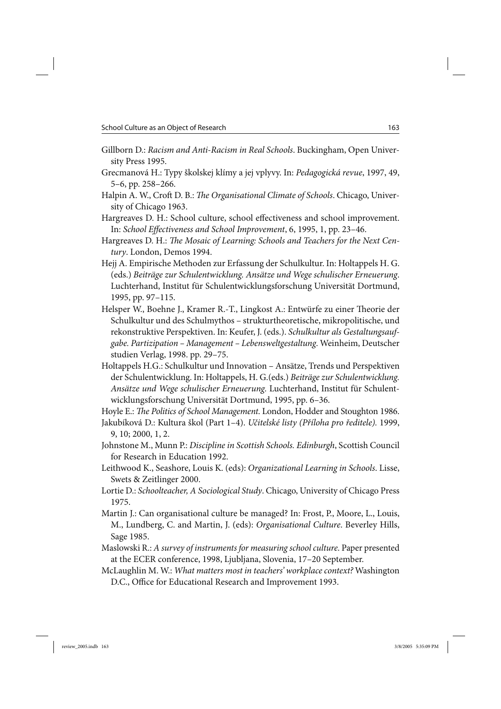- Gillborn D.: *Racism and Anti-Racism in Real Schools*. Buckingham, Open University Press 1995.
- Grecmanová H.: Typy školskej klímy a jej vplyvy. In: *Pedagogická revue*, 1997, 49, 5–6, pp. 258–266.
- Halpin A. W., Croft D. B.: *The Organisational Climate of Schools*. Chicago, University of Chicago 1963.
- Hargreaves D. H.: School culture, school effectiveness and school improvement. In: *School Effectiveness and School Improvement*, 6, 1995, 1, pp. 23–46.
- Hargreaves D. H.: *The Mosaic of Learning: Schools and Teachers for the Next Century*. London, Demos 1994.
- Hejj A. Empirische Methoden zur Erfassung der Schulkultur. In: Holtappels H. G. (eds.) *Beiträge zur Schulentwicklung. Ansätze und Wege schulischer Erneuerung*. Luchterhand, Institut für Schulentwicklungsforschung Universität Dortmund, 1995, pp. 97–115.
- Helsper W., Boehne J., Kramer R.-T., Lingkost A.: Entwürfe zu einer Theorie der Schulkultur und des Schulmythos – strukturtheoretische, mikropolitische, und rekonstruktive Perspektiven. In: Keufer, J. (eds.). *Schulkultur als Gestaltungsaufgabe. Partizipation – Management – Lebensweltgestaltung*. Weinheim, Deutscher studien Verlag, 1998. pp. 29–75.
- Holtappels H.G.: Schulkultur und Innovation Ansätze, Trends und Perspektiven der Schulentwicklung. In: Holtappels, H. G.(eds.) *Beiträge zur Schulentwicklung. Ansätze und Wege schulischer Erneuerung.* Luchterhand, Institut für Schulentwicklungsforschung Universität Dortmund, 1995, pp. 6–36.

Hoyle E.: *The Politics of School Management*. London, Hodder and Stoughton 1986.

- Jakubíková D.: Kultura škol (Part 1–4). *Učitelské listy (Příloha pro ředitele).* 1999, 9, 10; 2000, 1, 2.
- Johnstone M., Munn P.: *Discipline in Scottish Schools. Edinburgh*, Scottish Council for Research in Education 1992.
- Leithwood K., Seashore, Louis K. (eds): *Organizational Learning in Schools*. Lisse, Swets & Zeitlinger 2000.
- Lortie D.: *Schoolteacher, A Sociological Study*. Chicago, University of Chicago Press 1975.
- Martin J.: Can organisational culture be managed? In: Frost, P., Moore, L., Louis, M., Lundberg, C. and Martin, J. (eds): *Organisational Culture*. Beverley Hills, Sage 1985.
- Maslowski R.: *A survey of instruments for measuring school culture*. Paper presented at the ECER conference, 1998, Ljubljana, Slovenia, 17–20 September.
- McLaughlin M. W.: *What matters most in teachers' workplace context?* Washington D.C., Office for Educational Research and Improvement 1993.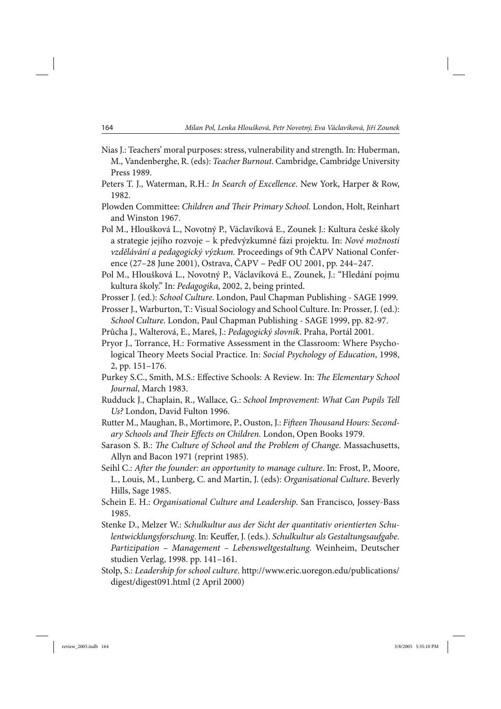- Nias J.: Teachers' moral purposes: stress, vulnerability and strength. In: Huberman, M., Vandenberghe, R. (eds): *Teacher Burnout*. Cambridge, Cambridge University Press 1989.
- Peters T. J., Waterman, R.H.: *In Search of Excellence*. New York, Harper & Row, 1982.
- Plowden Committee: *Children and Their Primary School*. London, Holt, Reinhart and Winston 1967.
- Pol M., Hloušková L., Novotný P., Václavíková E., Zounek J.: Kultura české školy a strategie jejího rozvoje – k předvýzkumné fázi projektu. In: *Nové možnosti vzdělávání a pedagogický výzkum.* Proceedings of 9th ČAPV National Conference (27–28 June 2001), Ostrava, ČAPV – PedF OU 2001, pp. 244–247.
- Pol M., Hloušková L., Novotný P., Václavíková E., Zounek, J.: "Hledání pojmu kultura školy." In: *Pedagogika*, 2002, 2, being printed.
- Prosser J. (ed.): *School Culture*. London, Paul Chapman Publishing SAGE 1999.
- Prosser J., Warburton, T.: Visual Sociology and School Culture. In: Prosser, J. (ed.): *School Culture*. London, Paul Chapman Publishing - SAGE 1999, pp. 82-97.
- Průcha J., Walterová, E., Mareš, J.: *Pedagogický slovník*. Praha, Portál 2001.
- Pryor J., Torrance, H.: Formative Assessment in the Classroom: Where Psychological Theory Meets Social Practice. In: *Social Psychology of Education*, 1998, 2, pp. 151–176.
- Purkey S.C., Smith, M.S.: Effective Schools: A Review*.* In: *The Elementary School Journal*, March 1983.
- Rudduck J., Chaplain, R., Wallace, G.: *School Improvement: What Can Pupils Tell Us?* London, David Fulton 1996.
- Rutter M., Maughan, B., Mortimore, P., Ouston, J.: *Fifteen Thousand Hours: Secondary Schools and Their Effects on Children.* London, Open Books 1979.
- Sarason S. B.: *The Culture of School and the Problem of Change*. Massachusetts, Allyn and Bacon 1971 (reprint 1985).
- Seihl C.: *After the founder: an opportunity to manage culture*. In: Frost, P., Moore, L., Louis, M., Lunberg, C. and Martin, J. (eds): *Organisational Culture*. Beverly Hills, Sage 1985.
- Schein E. H.: *Organisational Culture and Leadership*. San Francisco, Jossey-Bass 1985.
- Stenke D., Melzer W.: *Schulkultur aus der Sicht der quantitativ orientierten Schulentwicklungsforschung*. In: Keuffer, J. (eds.). *Schulkultur als Gestaltungsaufgabe. Partizipation – Management – Lebensweltgestaltung*. Weinheim, Deutscher studien Verlag, 1998. pp. 141–161.
- Stolp, S.: *Leadership for school culture*. http://www.eric.uoregon.edu/publications/ digest/digest091.html (2 April 2000)